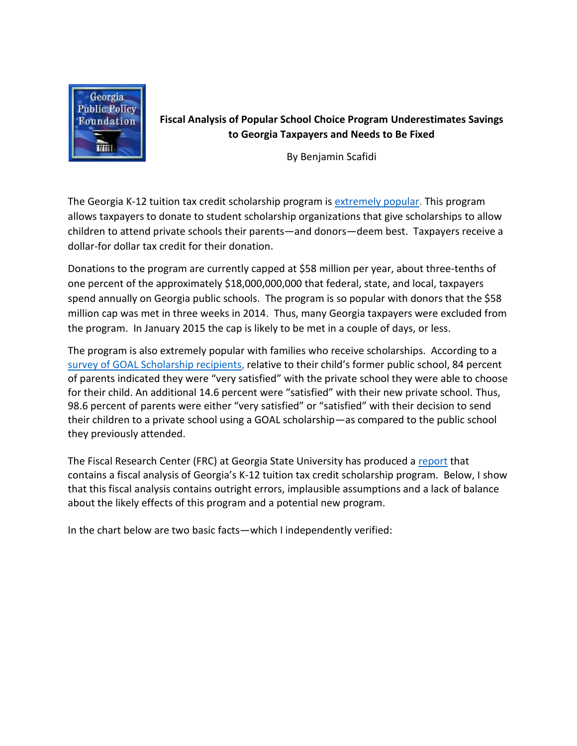

**Fiscal Analysis of Popular School Choice Program Underestimates Savings to Georgia Taxpayers and Needs to Be Fixed**

By Benjamin Scafidi

The Georgia K-12 tuition tax credit scholarship program is [extremely popular.](http://www.ajc.com/weblogs/kyle-wingfield/2014/sep/08/more-evidence-public-favors-school-choice/) This program allows taxpayers to donate to student scholarship organizations that give scholarships to allow children to attend private schools their parents—and donors—deem best. Taxpayers receive a dollar-for dollar tax credit for their donation.

Donations to the program are currently capped at \$58 million per year, about three-tenths of one percent of the approximately \$18,000,000,000 that federal, state, and local, taxpayers spend annually on Georgia public schools. The program is so popular with donors that the \$58 million cap was met in three weeks in 2014. Thus, many Georgia taxpayers were excluded from the program. In January 2015 the cap is likely to be met in a couple of days, or less.

The program is also extremely popular with families who receive scholarships. According to a [survey of GOAL Scholarship recipients,](http://www.edchoice.org/morethanscores) relative to their child's former public school, 84 percent of parents indicated they were "very satisfied" with the private school they were able to choose for their child. An additional 14.6 percent were "satisfied" with their new private school. Thus, 98.6 percent of parents were either "very satisfied" or "satisfied" with their decision to send their children to a private school using a GOAL scholarship—as compared to the public school they previously attended.

The Fiscal Research Center (FRC) at Georgia State University has produced a [report](http://frc.gsu.edu/files/2014/06/Georgia-Tax-Credit-Scholarship_Nov2014.pdf) that contains a fiscal analysis of Georgia's K-12 tuition tax credit scholarship program. Below, I show that this fiscal analysis contains outright errors, implausible assumptions and a lack of balance about the likely effects of this program and a potential new program.

In the chart below are two basic facts—which I independently verified: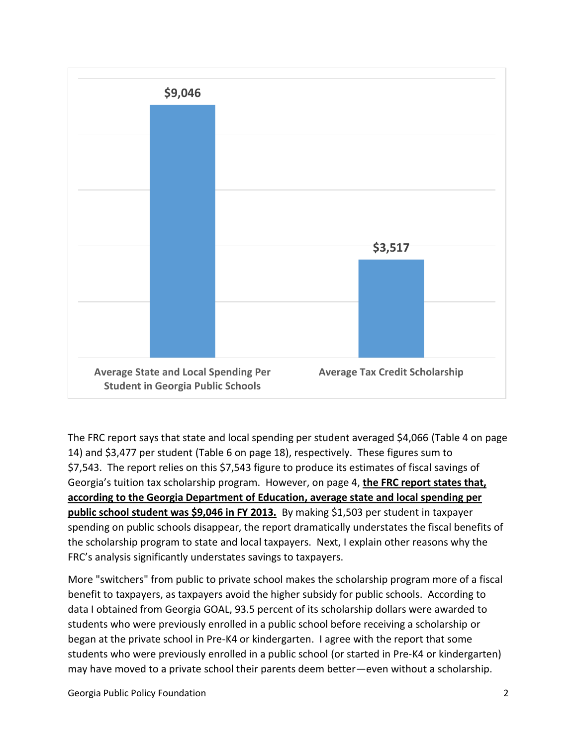

The FRC report says that state and local spending per student averaged \$4,066 (Table 4 on page 14) and \$3,477 per student (Table 6 on page 18), respectively. These figures sum to \$7,543. The report relies on this \$7,543 figure to produce its estimates of fiscal savings of Georgia's tuition tax scholarship program. However, on page 4, **the FRC report states that, according to the Georgia Department of Education, average state and local spending per public school student was \$9,046 in FY 2013.** By making \$1,503 per student in taxpayer spending on public schools disappear, the report dramatically understates the fiscal benefits of the scholarship program to state and local taxpayers. Next, I explain other reasons why the FRC's analysis significantly understates savings to taxpayers.

More "switchers" from public to private school makes the scholarship program more of a fiscal benefit to taxpayers, as taxpayers avoid the higher subsidy for public schools. According to data I obtained from Georgia GOAL, 93.5 percent of its scholarship dollars were awarded to students who were previously enrolled in a public school before receiving a scholarship or began at the private school in Pre-K4 or kindergarten. I agree with the report that some students who were previously enrolled in a public school (or started in Pre-K4 or kindergarten) may have moved to a private school their parents deem better—even without a scholarship.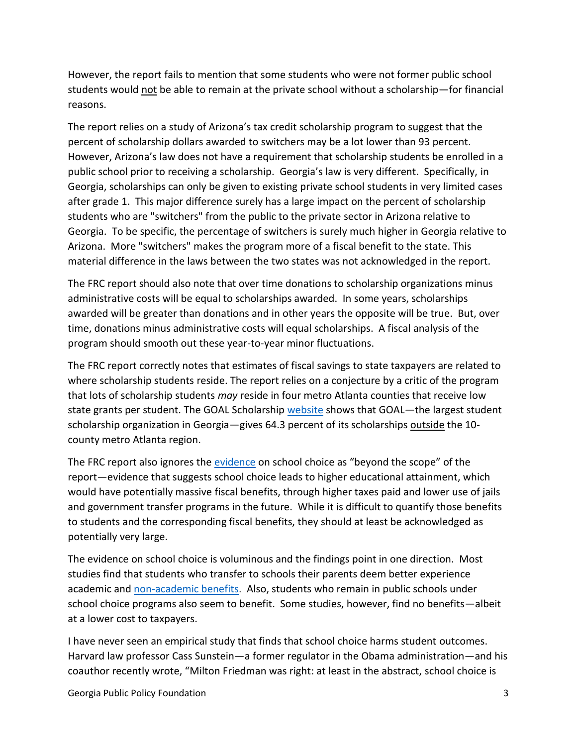However, the report fails to mention that some students who were not former public school students would not be able to remain at the private school without a scholarship—for financial reasons.

The report relies on a study of Arizona's tax credit scholarship program to suggest that the percent of scholarship dollars awarded to switchers may be a lot lower than 93 percent. However, Arizona's law does not have a requirement that scholarship students be enrolled in a public school prior to receiving a scholarship. Georgia's law is very different. Specifically, in Georgia, scholarships can only be given to existing private school students in very limited cases after grade 1. This major difference surely has a large impact on the percent of scholarship students who are "switchers" from the public to the private sector in Arizona relative to Georgia. To be specific, the percentage of switchers is surely much higher in Georgia relative to Arizona. More "switchers" makes the program more of a fiscal benefit to the state. This material difference in the laws between the two states was not acknowledged in the report.

The FRC report should also note that over time donations to scholarship organizations minus administrative costs will be equal to scholarships awarded. In some years, scholarships awarded will be greater than donations and in other years the opposite will be true. But, over time, donations minus administrative costs will equal scholarships. A fiscal analysis of the program should smooth out these year-to-year minor fluctuations.

The FRC report correctly notes that estimates of fiscal savings to state taxpayers are related to where scholarship students reside. The report relies on a conjecture by a critic of the program that lots of scholarship students *may* reside in four metro Atlanta counties that receive low state grants per student. The GOAL Scholarship [website](http://www.goalscholarship.org/results/) shows that GOAL—the largest student scholarship organization in Georgia-gives 64.3 percent of its scholarships outside the 10county metro Atlanta region.

The FRC report also ignores the [evidence](http://www.edchoice.org/Research/Reports/A-Win-Win-Solution--The-Empirical-Evidence-on-School-Choice.aspx) on school choice as "beyond the scope" of the report—evidence that suggests school choice leads to higher educational attainment, which would have potentially massive fiscal benefits, through higher taxes paid and lower use of jails and government transfer programs in the future. While it is difficult to quantify those benefits to students and the corresponding fiscal benefits, they should at least be acknowledged as potentially very large.

The evidence on school choice is voluminous and the findings point in one direction. Most studies find that students who transfer to schools their parents deem better experience academic and [non-academic benefits.](http://www.edchoice/morethanscores) Also, students who remain in public schools under school choice programs also seem to benefit. Some studies, however, find no benefits—albeit at a lower cost to taxpayers.

I have never seen an empirical study that finds that school choice harms student outcomes. Harvard law professor Cass Sunstein—a former regulator in the Obama administration—and his coauthor recently wrote, "Milton Friedman was right: at least in the abstract, school choice is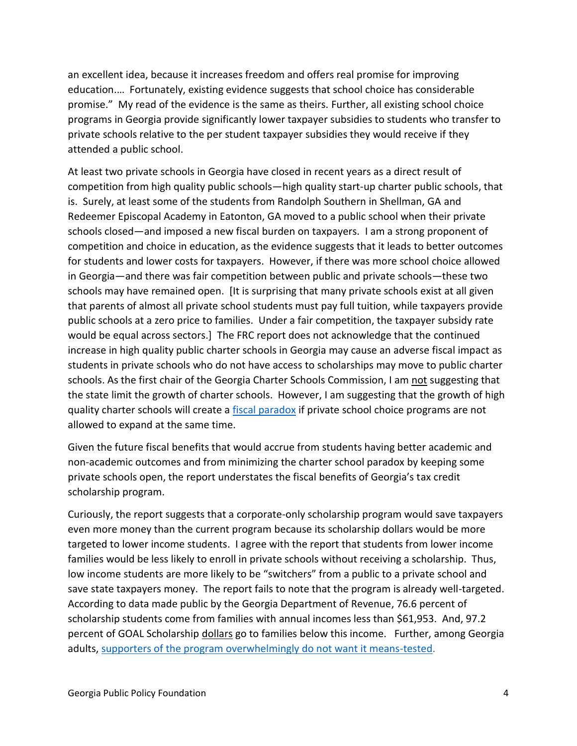an excellent idea, because it increases freedom and offers real promise for improving education.… Fortunately, existing evidence suggests that school choice has considerable promise." My read of the evidence is the same as theirs. Further, all existing school choice programs in Georgia provide significantly lower taxpayer subsidies to students who transfer to private schools relative to the per student taxpayer subsidies they would receive if they attended a public school.

At least two private schools in Georgia have closed in recent years as a direct result of competition from high quality public schools—high quality start-up charter public schools, that is. Surely, at least some of the students from Randolph Southern in Shellman, GA and Redeemer Episcopal Academy in Eatonton, GA moved to a public school when their private schools closed—and imposed a new fiscal burden on taxpayers. I am a strong proponent of competition and choice in education, as the evidence suggests that it leads to better outcomes for students and lower costs for taxpayers. However, if there was more school choice allowed in Georgia—and there was fair competition between public and private schools—these two schools may have remained open. [It is surprising that many private schools exist at all given that parents of almost all private school students must pay full tuition, while taxpayers provide public schools at a zero price to families. Under a fair competition, the taxpayer subsidy rate would be equal across sectors.] The FRC report does not acknowledge that the continued increase in high quality public charter schools in Georgia may cause an adverse fiscal impact as students in private schools who do not have access to scholarships may move to public charter schools. As the first chair of the Georgia Charter Schools Commission, I am not suggesting that the state limit the growth of charter schools. However, I am suggesting that the growth of high quality charter schools will create a [fiscal paradox](http://www.cato.org/blog/charter-school-paradox) if private school choice programs are not allowed to expand at the same time.

Given the future fiscal benefits that would accrue from students having better academic and non-academic outcomes and from minimizing the charter school paradox by keeping some private schools open, the report understates the fiscal benefits of Georgia's tax credit scholarship program.

Curiously, the report suggests that a corporate-only scholarship program would save taxpayers even more money than the current program because its scholarship dollars would be more targeted to lower income students. I agree with the report that students from lower income families would be less likely to enroll in private schools without receiving a scholarship. Thus, low income students are more likely to be "switchers" from a public to a private school and save state taxpayers money. The report fails to note that the program is already well-targeted. According to data made public by the Georgia Department of Revenue, 76.6 percent of scholarship students come from families with annual incomes less than \$61,953. And, 97.2 percent of GOAL Scholarship dollars go to families below this income. Further, among Georgia adults, [supporters of the program overwhelmingly do not want it means-tested.](http://www.ajc.com/weblogs/kyle-wingfield/2014/sep/08/more-evidence-public-favors-school-choice/)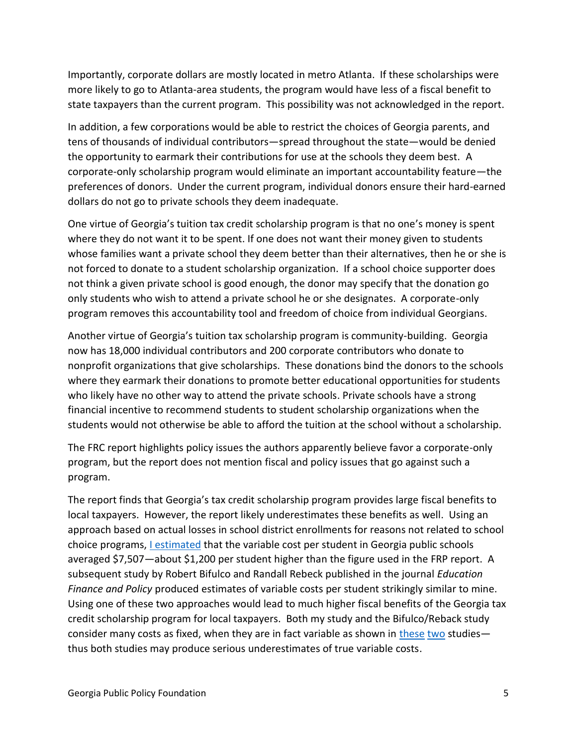Importantly, corporate dollars are mostly located in metro Atlanta. If these scholarships were more likely to go to Atlanta-area students, the program would have less of a fiscal benefit to state taxpayers than the current program. This possibility was not acknowledged in the report.

In addition, a few corporations would be able to restrict the choices of Georgia parents, and tens of thousands of individual contributors—spread throughout the state—would be denied the opportunity to earmark their contributions for use at the schools they deem best. A corporate-only scholarship program would eliminate an important accountability feature—the preferences of donors. Under the current program, individual donors ensure their hard-earned dollars do not go to private schools they deem inadequate.

One virtue of Georgia's tuition tax credit scholarship program is that no one's money is spent where they do not want it to be spent. If one does not want their money given to students whose families want a private school they deem better than their alternatives, then he or she is not forced to donate to a student scholarship organization. If a school choice supporter does not think a given private school is good enough, the donor may specify that the donation go only students who wish to attend a private school he or she designates. A corporate-only program removes this accountability tool and freedom of choice from individual Georgians.

Another virtue of Georgia's tuition tax scholarship program is community-building. Georgia now has 18,000 individual contributors and 200 corporate contributors who donate to nonprofit organizations that give scholarships. These donations bind the donors to the schools where they earmark their donations to promote better educational opportunities for students who likely have no other way to attend the private schools. Private schools have a strong financial incentive to recommend students to student scholarship organizations when the students would not otherwise be able to afford the tuition at the school without a scholarship.

The FRC report highlights policy issues the authors apparently believe favor a corporate-only program, but the report does not mention fiscal and policy issues that go against such a program.

The report finds that Georgia's tax credit scholarship program provides large fiscal benefits to local taxpayers. However, the report likely underestimates these benefits as well. Using an approach based on actual losses in school district enrollments for reasons not related to school choice programs, [I estimated](http://www.edchoice.org/Research/Reports/The-Fiscal-Effects-of-School-Choice-Programs-on-Public-School-Districts.aspx) that the variable cost per student in Georgia public schools averaged \$7,507-about \$1,200 per student higher than the figure used in the FRP report. A subsequent study by Robert Bifulco and Randall Rebeck published in the journal *Education Finance and Policy* produced estimates of variable costs per student strikingly similar to mine. Using one of these two approaches would lead to much higher fiscal benefits of the Georgia tax credit scholarship program for local taxpayers. Both my study and the Bifulco/Reback study consider many costs as fixed, when they are in fact variable as shown in [these](http://www.edchoice.org/Research/Reports/The-School-Staffing-Surge--Decades-of-Employment-Growth-in-Americas-Public-Schools.aspx) [two](http://www.edchoice.org/Research/Reports/The-School-Staffing-Surge--Decades-of-Employment-Growth-in-Americas-Public-Schools--Part-2.aspx) studies thus both studies may produce serious underestimates of true variable costs.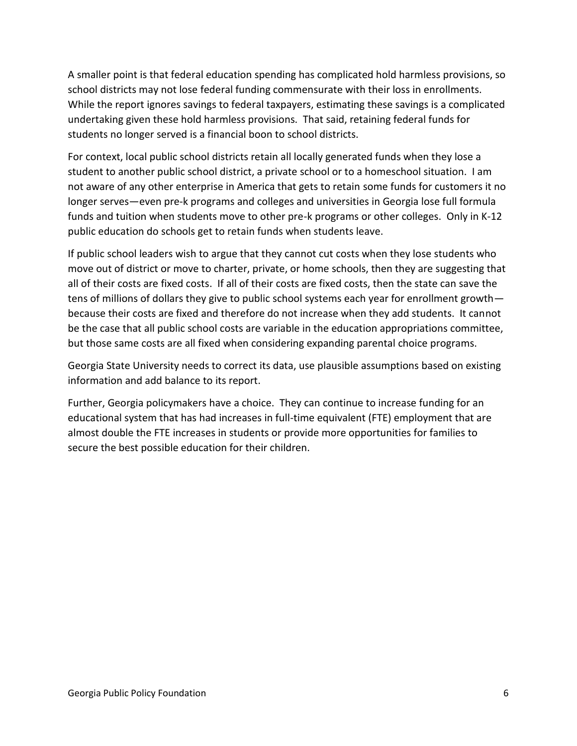A smaller point is that federal education spending has complicated hold harmless provisions, so school districts may not lose federal funding commensurate with their loss in enrollments. While the report ignores savings to federal taxpayers, estimating these savings is a complicated undertaking given these hold harmless provisions. That said, retaining federal funds for students no longer served is a financial boon to school districts.

For context, local public school districts retain all locally generated funds when they lose a student to another public school district, a private school or to a homeschool situation. I am not aware of any other enterprise in America that gets to retain some funds for customers it no longer serves—even pre-k programs and colleges and universities in Georgia lose full formula funds and tuition when students move to other pre-k programs or other colleges. Only in K-12 public education do schools get to retain funds when students leave.

If public school leaders wish to argue that they cannot cut costs when they lose students who move out of district or move to charter, private, or home schools, then they are suggesting that all of their costs are fixed costs. If all of their costs are fixed costs, then the state can save the tens of millions of dollars they give to public school systems each year for enrollment growth because their costs are fixed and therefore do not increase when they add students. It cannot be the case that all public school costs are variable in the education appropriations committee, but those same costs are all fixed when considering expanding parental choice programs.

Georgia State University needs to correct its data, use plausible assumptions based on existing information and add balance to its report.

Further, Georgia policymakers have a choice. They can continue to increase funding for an educational system that has had increases in full-time equivalent (FTE) employment that are almost double the FTE increases in students or provide more opportunities for families to secure the best possible education for their children.